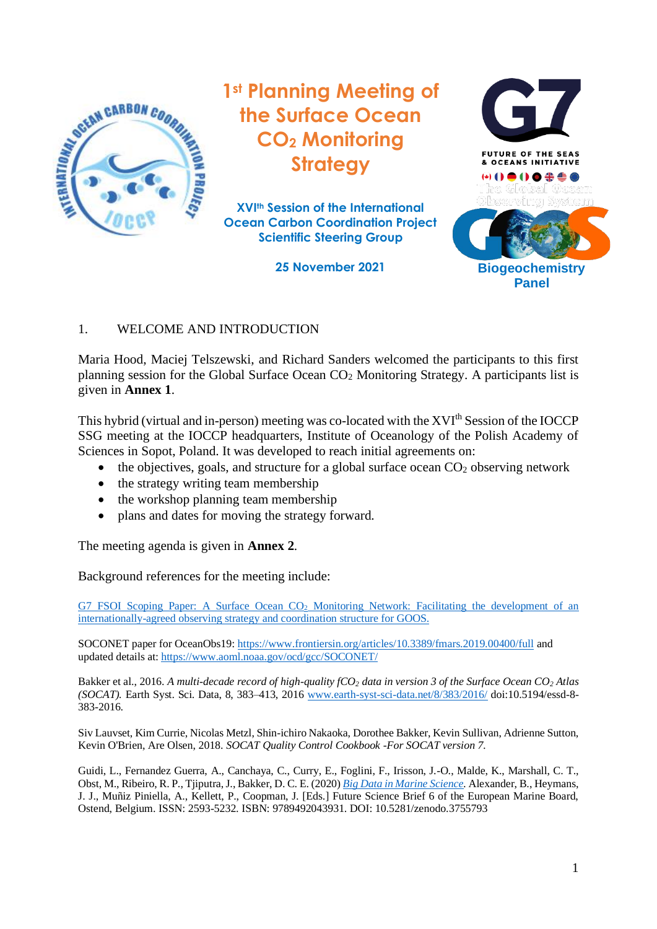

**1st Planning Meeting of the Surface Ocean CO<sup>2</sup> Monitoring Strategy**

**XVIth Session of the International Ocean Carbon Coordination Project Scientific Steering Group**



# 1. WELCOME AND INTRODUCTION

Maria Hood, Maciej Telszewski, and Richard Sanders welcomed the participants to this first planning session for the Global Surface Ocean CO<sup>2</sup> Monitoring Strategy. A participants list is given in **Annex 1**.

This hybrid (virtual and in-person) meeting was co-located with the XVI<sup>th</sup> Session of the IOCCP SSG meeting at the IOCCP headquarters, Institute of Oceanology of the Polish Academy of Sciences in Sopot, Poland. It was developed to reach initial agreements on:

- the objectives, goals, and structure for a global surface ocean  $CO<sub>2</sub>$  observing network
- the strategy writing team membership
- the workshop planning team membership
- plans and dates for moving the strategy forward.

The meeting agenda is given in **Annex 2**.

Background references for the meeting include:

G7 FSOI Scoping Paper: A Surface Ocean CO<sub>2</sub> Monitoring Network: Facilitating the development of an internationally-agreed [observing strategy and coordination structure for GOOS.](https://www.g7fsoi.org/wp-content/uploads/2021/12/SurfaceCO2activity_finalREV.pdf)

SOCONET paper for OceanObs19:<https://www.frontiersin.org/articles/10.3389/fmars.2019.00400/full> and updated details at: <https://www.aoml.noaa.gov/ocd/gcc/SOCONET/>

Bakker et al., 2016. *A multi-decade record of high-quality fCO<sup>2</sup> data in version 3 of the Surface Ocean CO<sup>2</sup> Atlas (SOCAT).* Earth Syst. Sci. Data, 8, 383–413, 2016 [www.earth-syst-sci-data.net/8/383/2016/](http://www.earth-syst-sci-data.net/8/383/2016/) doi:10.5194/essd-8- 383-2016.

Siv Lauvset, Kim Currie, Nicolas Metzl, Shin-ichiro Nakaoka, Dorothee Bakker, Kevin Sullivan, Adrienne Sutton, Kevin O'Brien, Are Olsen, 2018. *SOCAT Quality Control Cookbook -For SOCAT version 7.*

Guidi, L., Fernandez Guerra, A., Canchaya, C., Curry, E., Foglini, F., Irisson, J.-O., Malde, K., Marshall, C. T., Obst, M., Ribeiro, R. P., Tjiputra, J., Bakker, D. C. E. (2020) *[Big Data in Marine Science.](https://www.marineboard.eu/sites/marineboard.eu/files/public/publication/EMB_FSB6_BigData_Web_v4_0.pdf)* Alexander, B., Heymans, J. J., Muñiz Piniella, A., Kellett, P., Coopman, J. [Eds.] Future Science Brief 6 of the European Marine Board, Ostend, Belgium. ISSN: 2593-5232. ISBN: 9789492043931. DOI: 10.5281/zenodo.3755793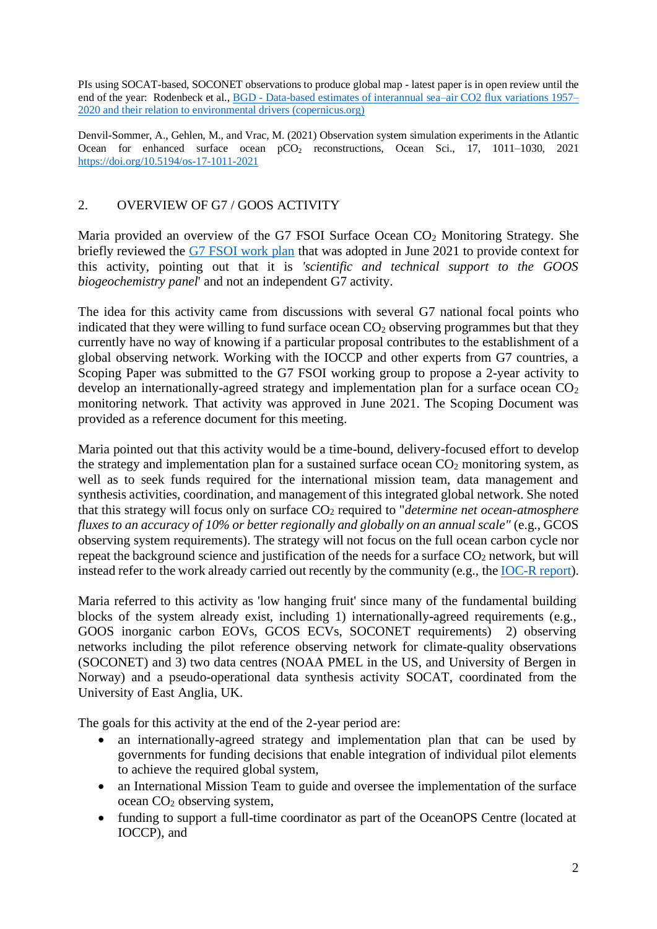PIs using SOCAT-based, SOCONET observations to produce global map - latest paper is in open review until the end of the year: Rodenbeck et al., BGD - [Data-based estimates of interannual sea–air CO2 flux variations 1957–](https://bg.copernicus.org/preprints/bg-2021-304/) [2020 and their relation to environmental drivers \(copernicus.org\)](https://bg.copernicus.org/preprints/bg-2021-304/)

Denvil-Sommer, A., Gehlen, M., and Vrac, M. (2021) Observation system simulation experiments in the Atlantic Ocean for enhanced surface ocean pCO<sub>2</sub> reconstructions, Ocean Sci., 17, 1011–1030, 2021 <https://doi.org/10.5194/os-17-1011-2021>

# 2. OVERVIEW OF G7 / GOOS ACTIVITY

Maria provided an overview of the G7 FSOI Surface Ocean  $CO<sub>2</sub>$  Monitoring Strategy. She briefly reviewed the [G7 FSOI work plan](https://www.g7fsoi.org/activities/) that was adopted in June 2021 to provide context for this activity, pointing out that it is *'scientific and technical support to the GOOS biogeochemistry panel*' and not an independent G7 activity.

The idea for this activity came from discussions with several G7 national focal points who indicated that they were willing to fund surface ocean  $CO<sub>2</sub>$  observing programmes but that they currently have no way of knowing if a particular proposal contributes to the establishment of a global observing network. Working with the IOCCP and other experts from G7 countries, a Scoping Paper was submitted to the G7 FSOI working group to propose a 2-year activity to develop an internationally-agreed strategy and implementation plan for a surface ocean  $CO<sub>2</sub>$ monitoring network. That activity was approved in June 2021. The Scoping Document was provided as a reference document for this meeting.

Maria pointed out that this activity would be a time-bound, delivery-focused effort to develop the strategy and implementation plan for a sustained surface ocean  $CO<sub>2</sub>$  monitoring system, as well as to seek funds required for the international mission team, data management and synthesis activities, coordination, and management of this integrated global network. She noted that this strategy will focus only on surface  $CO<sub>2</sub>$  required to "*determine net ocean-atmosphere fluxes to an accuracy of 10% or better regionally and globally on an annual scale"* (e.g., GCOS observing system requirements). The strategy will not focus on the full ocean carbon cycle nor repeat the background science and justification of the needs for a surface  $CO<sub>2</sub>$  network, but will instead refer to the work already carried out recently by the community (e.g., th[e IOC-R report\)](http://www.ioccp.org/index.php/more/757-integrated-ocean-carbon-research-a-summary-of-ocean-carbon-knowledge-and-a-vision-for-coordinated-ocean-carbon-research-and-observations-for-the-next-decade-report-published-by-ioc-unesco).

Maria referred to this activity as 'low hanging fruit' since many of the fundamental building blocks of the system already exist, including 1) internationally-agreed requirements (e.g., GOOS inorganic carbon EOVs, GCOS ECVs, SOCONET requirements) 2) observing networks including the pilot reference observing network for climate-quality observations (SOCONET) and 3) two data centres (NOAA PMEL in the US, and University of Bergen in Norway) and a pseudo-operational data synthesis activity SOCAT, coordinated from the University of East Anglia, UK.

The goals for this activity at the end of the 2-year period are:

- an internationally-agreed strategy and implementation plan that can be used by governments for funding decisions that enable integration of individual pilot elements to achieve the required global system,
- an International Mission Team to guide and oversee the implementation of the surface ocean CO<sup>2</sup> observing system,
- funding to support a full-time coordinator as part of the OceanOPS Centre (located at IOCCP), and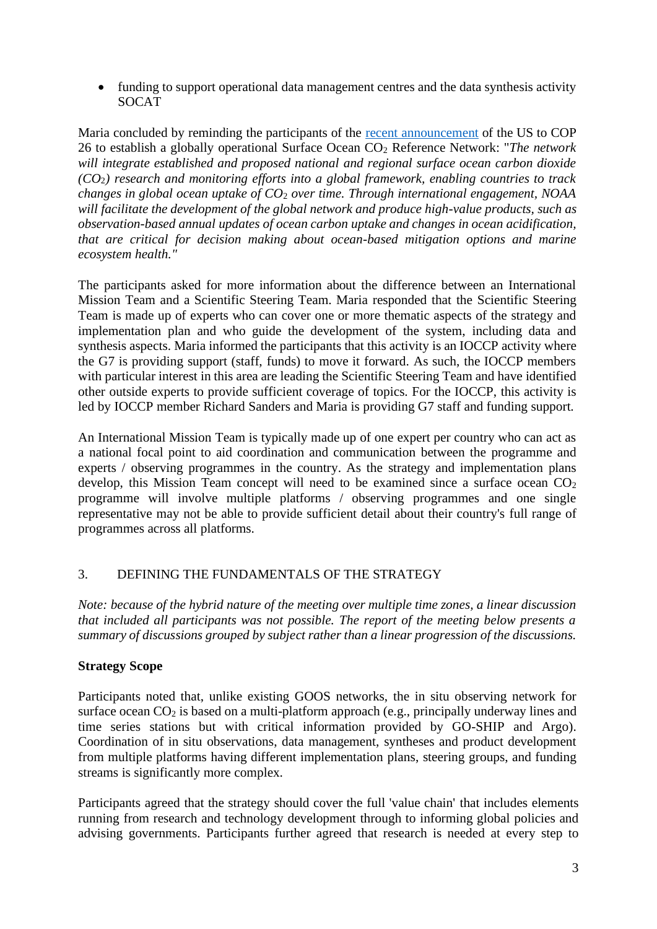• funding to support operational data management centres and the data synthesis activity **SOCAT** 

Maria concluded by reminding the participants of the [recent announcement](https://www.climate.gov/sites/default/files/2021-11/NOAA-Fact-Sheet-Climate-Smart-Decisions-in-Our-Changing-World-110121.pdf) of the US to COP 26 to establish a globally operational Surface Ocean CO<sup>2</sup> Reference Network: "*The network will integrate established and proposed national and regional surface ocean carbon dioxide (CO*2*) research and monitoring efforts into a global framework, enabling countries to track changes in global ocean uptake of CO*<sup>2</sup> *over time. Through international engagement, NOAA will facilitate the development of the global network and produce high-value products, such as observation-based annual updates of ocean carbon uptake and changes in ocean acidification, that are critical for decision making about ocean-based mitigation options and marine ecosystem health."*

The participants asked for more information about the difference between an International Mission Team and a Scientific Steering Team. Maria responded that the Scientific Steering Team is made up of experts who can cover one or more thematic aspects of the strategy and implementation plan and who guide the development of the system, including data and synthesis aspects. Maria informed the participants that this activity is an IOCCP activity where the G7 is providing support (staff, funds) to move it forward. As such, the IOCCP members with particular interest in this area are leading the Scientific Steering Team and have identified other outside experts to provide sufficient coverage of topics. For the IOCCP, this activity is led by IOCCP member Richard Sanders and Maria is providing G7 staff and funding support.

An International Mission Team is typically made up of one expert per country who can act as a national focal point to aid coordination and communication between the programme and experts / observing programmes in the country. As the strategy and implementation plans develop, this Mission Team concept will need to be examined since a surface ocean  $CO<sub>2</sub>$ programme will involve multiple platforms / observing programmes and one single representative may not be able to provide sufficient detail about their country's full range of programmes across all platforms.

## 3. DEFINING THE FUNDAMENTALS OF THE STRATEGY

*Note: because of the hybrid nature of the meeting over multiple time zones, a linear discussion that included all participants was not possible. The report of the meeting below presents a summary of discussions grouped by subject rather than a linear progression of the discussions.*

## **Strategy Scope**

Participants noted that, unlike existing GOOS networks, the in situ observing network for surface ocean  $CO_2$  is based on a multi-platform approach (e.g., principally underway lines and time series stations but with critical information provided by GO-SHIP and Argo). Coordination of in situ observations, data management, syntheses and product development from multiple platforms having different implementation plans, steering groups, and funding streams is significantly more complex.

Participants agreed that the strategy should cover the full 'value chain' that includes elements running from research and technology development through to informing global policies and advising governments. Participants further agreed that research is needed at every step to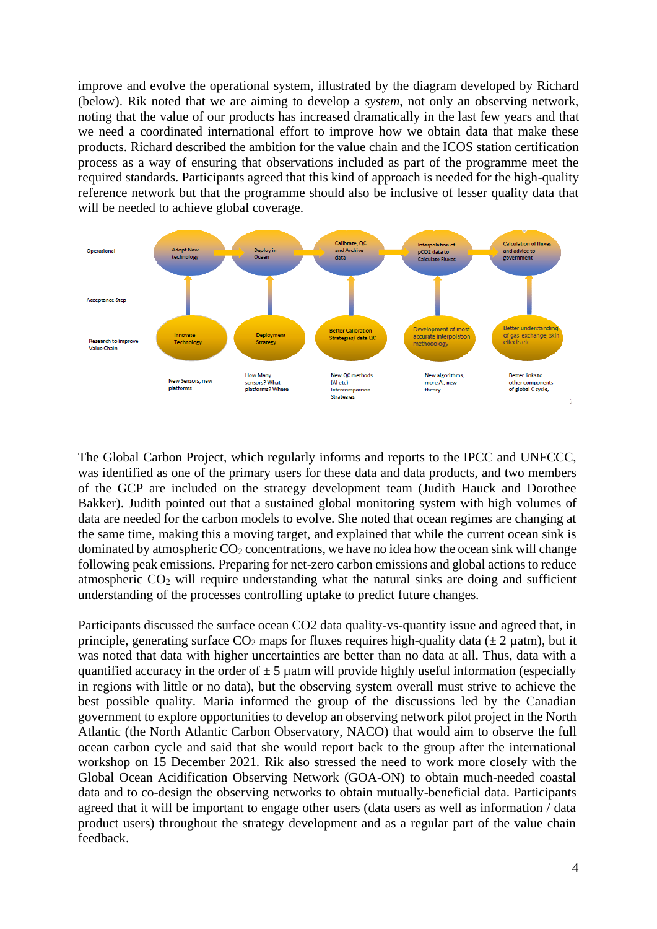improve and evolve the operational system, illustrated by the diagram developed by Richard (below). Rik noted that we are aiming to develop a *system*, not only an observing network, noting that the value of our products has increased dramatically in the last few years and that we need a coordinated international effort to improve how we obtain data that make these products. Richard described the ambition for the value chain and the ICOS station certification process as a way of ensuring that observations included as part of the programme meet the required standards. Participants agreed that this kind of approach is needed for the high-quality reference network but that the programme should also be inclusive of lesser quality data that will be needed to achieve global coverage.



The Global Carbon Project, which regularly informs and reports to the IPCC and UNFCCC, was identified as one of the primary users for these data and data products, and two members of the GCP are included on the strategy development team (Judith Hauck and Dorothee Bakker). Judith pointed out that a sustained global monitoring system with high volumes of data are needed for the carbon models to evolve. She noted that ocean regimes are changing at the same time, making this a moving target, and explained that while the current ocean sink is dominated by atmospheric  $CO<sub>2</sub>$  concentrations, we have no idea how the ocean sink will change following peak emissions. Preparing for net-zero carbon emissions and global actions to reduce atmospheric  $CO<sub>2</sub>$  will require understanding what the natural sinks are doing and sufficient understanding of the processes controlling uptake to predict future changes.

Participants discussed the surface ocean CO2 data quality-vs-quantity issue and agreed that, in principle, generating surface  $CO_2$  maps for fluxes requires high-quality data ( $\pm 2$  µatm), but it was noted that data with higher uncertainties are better than no data at all. Thus, data with a quantified accuracy in the order of  $\pm$  5 µatm will provide highly useful information (especially in regions with little or no data), but the observing system overall must strive to achieve the best possible quality. Maria informed the group of the discussions led by the Canadian government to explore opportunities to develop an observing network pilot project in the North Atlantic (the North Atlantic Carbon Observatory, NACO) that would aim to observe the full ocean carbon cycle and said that she would report back to the group after the international workshop on 15 December 2021. Rik also stressed the need to work more closely with the Global Ocean Acidification Observing Network (GOA-ON) to obtain much-needed coastal data and to co-design the observing networks to obtain mutually-beneficial data. Participants agreed that it will be important to engage other users (data users as well as information / data product users) throughout the strategy development and as a regular part of the value chain feedback.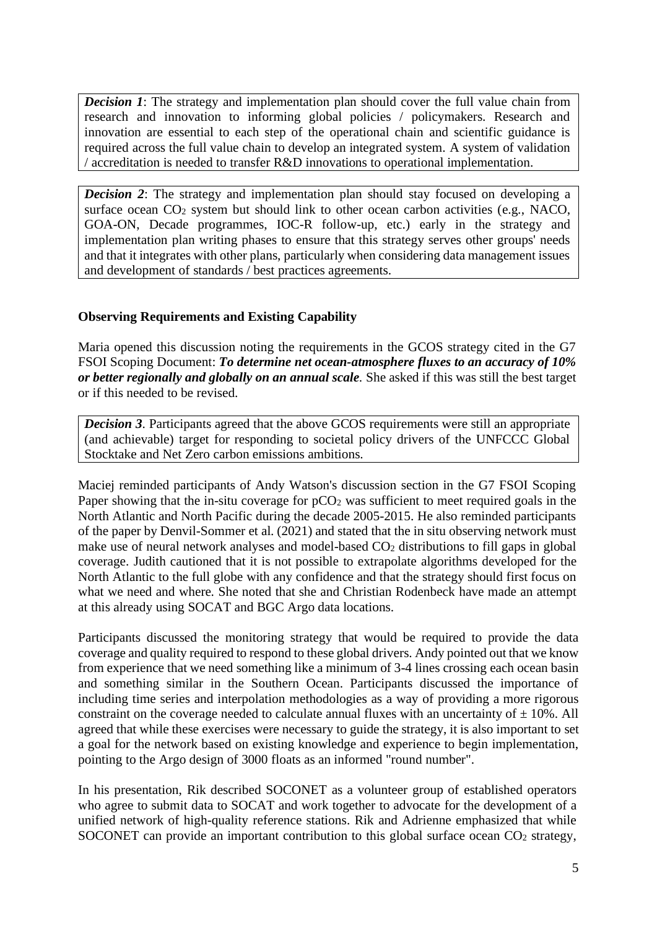*Decision 1*: The strategy and implementation plan should cover the full value chain from research and innovation to informing global policies / policymakers. Research and innovation are essential to each step of the operational chain and scientific guidance is required across the full value chain to develop an integrated system. A system of validation / accreditation is needed to transfer R&D innovations to operational implementation.

*Decision 2*: The strategy and implementation plan should stay focused on developing a surface ocean CO<sup>2</sup> system but should link to other ocean carbon activities (e.g., NACO, GOA-ON, Decade programmes, IOC-R follow-up, etc.) early in the strategy and implementation plan writing phases to ensure that this strategy serves other groups' needs and that it integrates with other plans, particularly when considering data management issues and development of standards / best practices agreements.

## **Observing Requirements and Existing Capability**

Maria opened this discussion noting the requirements in the GCOS strategy cited in the G7 FSOI Scoping Document: *To determine net ocean-atmosphere fluxes to an accuracy of 10% or better regionally and globally on an annual scale.* She asked if this was still the best target or if this needed to be revised.

*Decision 3*. Participants agreed that the above GCOS requirements were still an appropriate (and achievable) target for responding to societal policy drivers of the UNFCCC Global Stocktake and Net Zero carbon emissions ambitions.

Maciej reminded participants of Andy Watson's discussion section in the G7 FSOI Scoping Paper showing that the in-situ coverage for  $pCO<sub>2</sub>$  was sufficient to meet required goals in the North Atlantic and North Pacific during the decade 2005-2015. He also reminded participants of the paper by Denvil-Sommer et al. (2021) and stated that the in situ observing network must make use of neural network analyses and model-based  $CO<sub>2</sub>$  distributions to fill gaps in global coverage. Judith cautioned that it is not possible to extrapolate algorithms developed for the North Atlantic to the full globe with any confidence and that the strategy should first focus on what we need and where. She noted that she and Christian Rodenbeck have made an attempt at this already using SOCAT and BGC Argo data locations.

Participants discussed the monitoring strategy that would be required to provide the data coverage and quality required to respond to these global drivers. Andy pointed out that we know from experience that we need something like a minimum of 3-4 lines crossing each ocean basin and something similar in the Southern Ocean. Participants discussed the importance of including time series and interpolation methodologies as a way of providing a more rigorous constraint on the coverage needed to calculate annual fluxes with an uncertainty of  $\pm$  10%. All agreed that while these exercises were necessary to guide the strategy, it is also important to set a goal for the network based on existing knowledge and experience to begin implementation, pointing to the Argo design of 3000 floats as an informed "round number".

In his presentation, Rik described SOCONET as a volunteer group of established operators who agree to submit data to SOCAT and work together to advocate for the development of a unified network of high-quality reference stations. Rik and Adrienne emphasized that while SOCONET can provide an important contribution to this global surface ocean  $CO<sub>2</sub>$  strategy,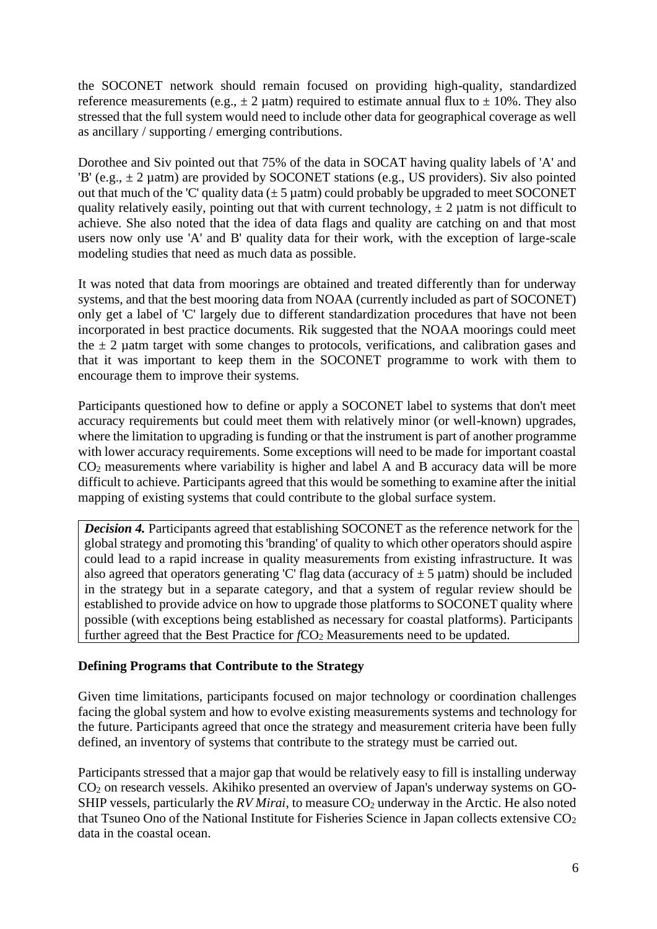the SOCONET network should remain focused on providing high-quality, standardized reference measurements (e.g.,  $\pm 2 \mu$ atm) required to estimate annual flux to  $\pm 10\%$ . They also stressed that the full system would need to include other data for geographical coverage as well as ancillary / supporting / emerging contributions.

Dorothee and Siv pointed out that 75% of the data in SOCAT having quality labels of 'A' and 'B' (e.g.,  $\pm$  2 µatm) are provided by SOCONET stations (e.g., US providers). Siv also pointed out that much of the 'C' quality data  $(\pm 5 \mu \text{atm})$  could probably be upgraded to meet SOCONET quality relatively easily, pointing out that with current technology,  $\pm 2$  uatm is not difficult to achieve. She also noted that the idea of data flags and quality are catching on and that most users now only use 'A' and B' quality data for their work, with the exception of large-scale modeling studies that need as much data as possible.

It was noted that data from moorings are obtained and treated differently than for underway systems, and that the best mooring data from NOAA (currently included as part of SOCONET) only get a label of 'C' largely due to different standardization procedures that have not been incorporated in best practice documents. Rik suggested that the NOAA moorings could meet the  $\pm$  2 uatm target with some changes to protocols, verifications, and calibration gases and that it was important to keep them in the SOCONET programme to work with them to encourage them to improve their systems.

Participants questioned how to define or apply a SOCONET label to systems that don't meet accuracy requirements but could meet them with relatively minor (or well-known) upgrades, where the limitation to upgrading is funding or that the instrument is part of another programme with lower accuracy requirements. Some exceptions will need to be made for important coastal  $CO<sub>2</sub>$  measurements where variability is higher and label A and B accuracy data will be more difficult to achieve. Participants agreed that this would be something to examine after the initial mapping of existing systems that could contribute to the global surface system.

*Decision 4.* Participants agreed that establishing SOCONET as the reference network for the global strategy and promoting this 'branding' of quality to which other operators should aspire could lead to a rapid increase in quality measurements from existing infrastructure. It was also agreed that operators generating 'C' flag data (accuracy of  $\pm$  5 µatm) should be included in the strategy but in a separate category, and that a system of regular review should be established to provide advice on how to upgrade those platforms to SOCONET quality where possible (with exceptions being established as necessary for coastal platforms). Participants further agreed that the Best Practice for *fCO*<sub>2</sub> Measurements need to be updated.

#### **Defining Programs that Contribute to the Strategy**

Given time limitations, participants focused on major technology or coordination challenges facing the global system and how to evolve existing measurements systems and technology for the future. Participants agreed that once the strategy and measurement criteria have been fully defined, an inventory of systems that contribute to the strategy must be carried out.

Participants stressed that a major gap that would be relatively easy to fill is installing underway CO<sup>2</sup> on research vessels. Akihiko presented an overview of Japan's underway systems on GO-SHIP vessels, particularly the  $RV$  *Mirai*, to measure  $CO<sub>2</sub>$  underway in the Arctic. He also noted that Tsuneo Ono of the National Institute for Fisheries Science in Japan collects extensive  $CO<sub>2</sub>$ data in the coastal ocean.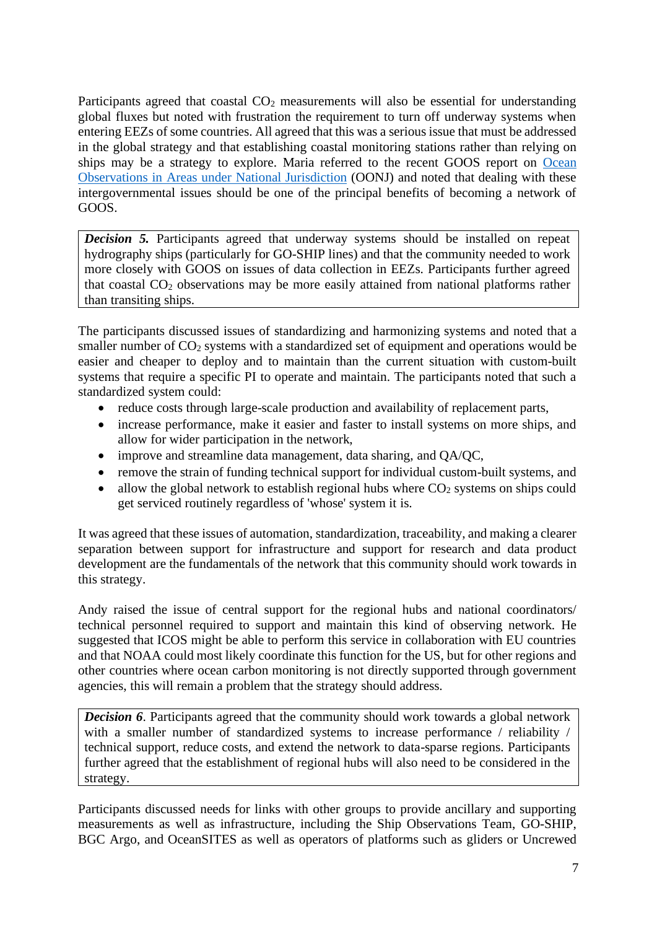Participants agreed that coastal  $CO<sub>2</sub>$  measurements will also be essential for understanding global fluxes but noted with frustration the requirement to turn off underway systems when entering EEZs of some countries. All agreed that this was a serious issue that must be addressed in the global strategy and that establishing coastal monitoring stations rather than relying on ships may be a strategy to explore. Maria referred to the recent GOOS report on [Ocean](https://www.goosocean.org/index.php?option=com_oe&task=viewDocumentRecord&docID=26607)  [Observations in Areas under National Jurisdiction](https://www.goosocean.org/index.php?option=com_oe&task=viewDocumentRecord&docID=26607) (OONJ) and noted that dealing with these intergovernmental issues should be one of the principal benefits of becoming a network of GOOS.

*Decision 5.* Participants agreed that underway systems should be installed on repeat hydrography ships (particularly for GO-SHIP lines) and that the community needed to work more closely with GOOS on issues of data collection in EEZs. Participants further agreed that coastal  $CO<sub>2</sub>$  observations may be more easily attained from national platforms rather than transiting ships.

The participants discussed issues of standardizing and harmonizing systems and noted that a smaller number of  $CO<sub>2</sub>$  systems with a standardized set of equipment and operations would be easier and cheaper to deploy and to maintain than the current situation with custom-built systems that require a specific PI to operate and maintain. The participants noted that such a standardized system could:

- reduce costs through large-scale production and availability of replacement parts,
- increase performance, make it easier and faster to install systems on more ships, and allow for wider participation in the network,
- improve and streamline data management, data sharing, and QA/QC,
- remove the strain of funding technical support for individual custom-built systems, and
- allow the global network to establish regional hubs where  $CO<sub>2</sub>$  systems on ships could get serviced routinely regardless of 'whose' system it is.

It was agreed that these issues of automation, standardization, traceability, and making a clearer separation between support for infrastructure and support for research and data product development are the fundamentals of the network that this community should work towards in this strategy.

Andy raised the issue of central support for the regional hubs and national coordinators/ technical personnel required to support and maintain this kind of observing network. He suggested that ICOS might be able to perform this service in collaboration with EU countries and that NOAA could most likely coordinate this function for the US, but for other regions and other countries where ocean carbon monitoring is not directly supported through government agencies, this will remain a problem that the strategy should address.

*Decision 6*. Participants agreed that the community should work towards a global network with a smaller number of standardized systems to increase performance / reliability / technical support, reduce costs, and extend the network to data-sparse regions. Participants further agreed that the establishment of regional hubs will also need to be considered in the strategy.

Participants discussed needs for links with other groups to provide ancillary and supporting measurements as well as infrastructure, including the Ship Observations Team, GO-SHIP, BGC Argo, and OceanSITES as well as operators of platforms such as gliders or Uncrewed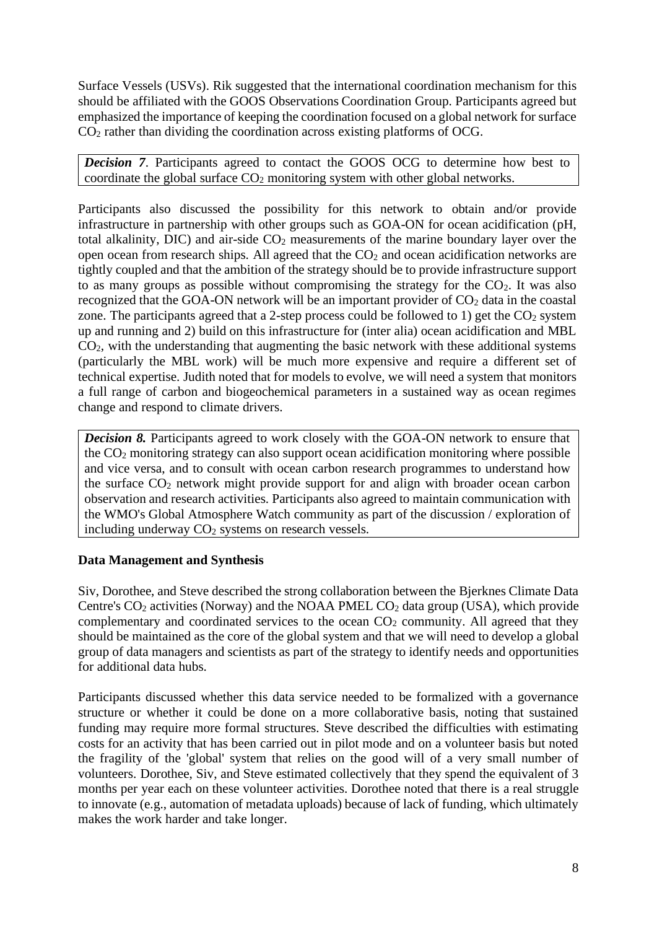Surface Vessels (USVs). Rik suggested that the international coordination mechanism for this should be affiliated with the GOOS Observations Coordination Group. Participants agreed but emphasized the importance of keeping the coordination focused on a global network for surface  $CO<sub>2</sub>$  rather than dividing the coordination across existing platforms of OCG.

*Decision 7*. Participants agreed to contact the GOOS OCG to determine how best to coordinate the global surface  $CO<sub>2</sub>$  monitoring system with other global networks.

Participants also discussed the possibility for this network to obtain and/or provide infrastructure in partnership with other groups such as GOA-ON for ocean acidification (pH, total alkalinity,  $DIC$ ) and air-side  $CO<sub>2</sub>$  measurements of the marine boundary layer over the open ocean from research ships. All agreed that the  $CO<sub>2</sub>$  and ocean acidification networks are tightly coupled and that the ambition of the strategy should be to provide infrastructure support to as many groups as possible without compromising the strategy for the  $CO<sub>2</sub>$ . It was also recognized that the GOA-ON network will be an important provider of  $CO<sub>2</sub>$  data in the coastal zone. The participants agreed that a 2-step process could be followed to 1) get the  $CO<sub>2</sub>$  system up and running and 2) build on this infrastructure for (inter alia) ocean acidification and MBL  $CO<sub>2</sub>$ , with the understanding that augmenting the basic network with these additional systems (particularly the MBL work) will be much more expensive and require a different set of technical expertise. Judith noted that for models to evolve, we will need a system that monitors a full range of carbon and biogeochemical parameters in a sustained way as ocean regimes change and respond to climate drivers.

*Decision 8.* Participants agreed to work closely with the GOA-ON network to ensure that the CO<sup>2</sup> monitoring strategy can also support ocean acidification monitoring where possible and vice versa, and to consult with ocean carbon research programmes to understand how the surface CO<sup>2</sup> network might provide support for and align with broader ocean carbon observation and research activities. Participants also agreed to maintain communication with the WMO's Global Atmosphere Watch community as part of the discussion / exploration of including underway  $CO<sub>2</sub>$  systems on research vessels.

## **Data Management and Synthesis**

Siv, Dorothee, and Steve described the strong collaboration between the Bjerknes Climate Data Centre's  $CO_2$  activities (Norway) and the NOAA PMEL  $CO_2$  data group (USA), which provide complementary and coordinated services to the ocean  $CO<sub>2</sub>$  community. All agreed that they should be maintained as the core of the global system and that we will need to develop a global group of data managers and scientists as part of the strategy to identify needs and opportunities for additional data hubs.

Participants discussed whether this data service needed to be formalized with a governance structure or whether it could be done on a more collaborative basis, noting that sustained funding may require more formal structures. Steve described the difficulties with estimating costs for an activity that has been carried out in pilot mode and on a volunteer basis but noted the fragility of the 'global' system that relies on the good will of a very small number of volunteers. Dorothee, Siv, and Steve estimated collectively that they spend the equivalent of 3 months per year each on these volunteer activities. Dorothee noted that there is a real struggle to innovate (e.g., automation of metadata uploads) because of lack of funding, which ultimately makes the work harder and take longer.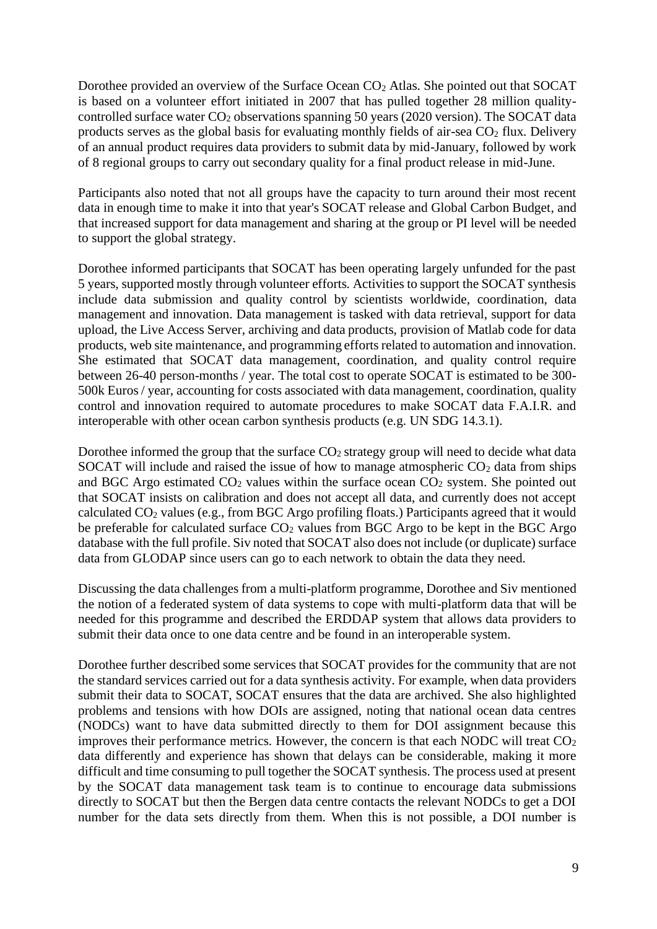Dorothee provided an overview of the Surface Ocean CO<sub>2</sub> Atlas. She pointed out that SOCAT is based on a volunteer effort initiated in 2007 that has pulled together 28 million qualitycontrolled surface water  $CO<sub>2</sub>$  observations spanning 50 years (2020 version). The SOCAT data products serves as the global basis for evaluating monthly fields of air-sea  $CO<sub>2</sub>$  flux. Delivery of an annual product requires data providers to submit data by mid-January, followed by work of 8 regional groups to carry out secondary quality for a final product release in mid-June.

Participants also noted that not all groups have the capacity to turn around their most recent data in enough time to make it into that year's SOCAT release and Global Carbon Budget, and that increased support for data management and sharing at the group or PI level will be needed to support the global strategy.

Dorothee informed participants that SOCAT has been operating largely unfunded for the past 5 years, supported mostly through volunteer efforts. Activities to support the SOCAT synthesis include data submission and quality control by scientists worldwide, coordination, data management and innovation. Data management is tasked with data retrieval, support for data upload, the Live Access Server, archiving and data products, provision of Matlab code for data products, web site maintenance, and programming efforts related to automation and innovation. She estimated that SOCAT data management, coordination, and quality control require between 26-40 person-months / year. The total cost to operate SOCAT is estimated to be 300- 500k Euros / year, accounting for costs associated with data management, coordination, quality control and innovation required to automate procedures to make SOCAT data F.A.I.R. and interoperable with other ocean carbon synthesis products (e.g. UN SDG 14.3.1).

Dorothee informed the group that the surface  $CO<sub>2</sub>$  strategy group will need to decide what data SOCAT will include and raised the issue of how to manage atmospheric  $CO<sub>2</sub>$  data from ships and BGC Argo estimated  $CO<sub>2</sub>$  values within the surface ocean  $CO<sub>2</sub>$  system. She pointed out that SOCAT insists on calibration and does not accept all data, and currently does not accept calculated CO<sub>2</sub> values (e.g., from BGC Argo profiling floats.) Participants agreed that it would be preferable for calculated surface  $CO<sub>2</sub>$  values from BGC Argo to be kept in the BGC Argo database with the full profile. Siv noted that SOCAT also does not include (or duplicate) surface data from GLODAP since users can go to each network to obtain the data they need.

Discussing the data challenges from a multi-platform programme, Dorothee and Siv mentioned the notion of a federated system of data systems to cope with multi-platform data that will be needed for this programme and described the ERDDAP system that allows data providers to submit their data once to one data centre and be found in an interoperable system.

Dorothee further described some services that SOCAT provides for the community that are not the standard services carried out for a data synthesis activity. For example, when data providers submit their data to SOCAT, SOCAT ensures that the data are archived. She also highlighted problems and tensions with how DOIs are assigned, noting that national ocean data centres (NODCs) want to have data submitted directly to them for DOI assignment because this improves their performance metrics. However, the concern is that each NODC will treat  $CO<sub>2</sub>$ data differently and experience has shown that delays can be considerable, making it more difficult and time consuming to pull together the SOCAT synthesis. The process used at present by the SOCAT data management task team is to continue to encourage data submissions directly to SOCAT but then the Bergen data centre contacts the relevant NODCs to get a DOI number for the data sets directly from them. When this is not possible, a DOI number is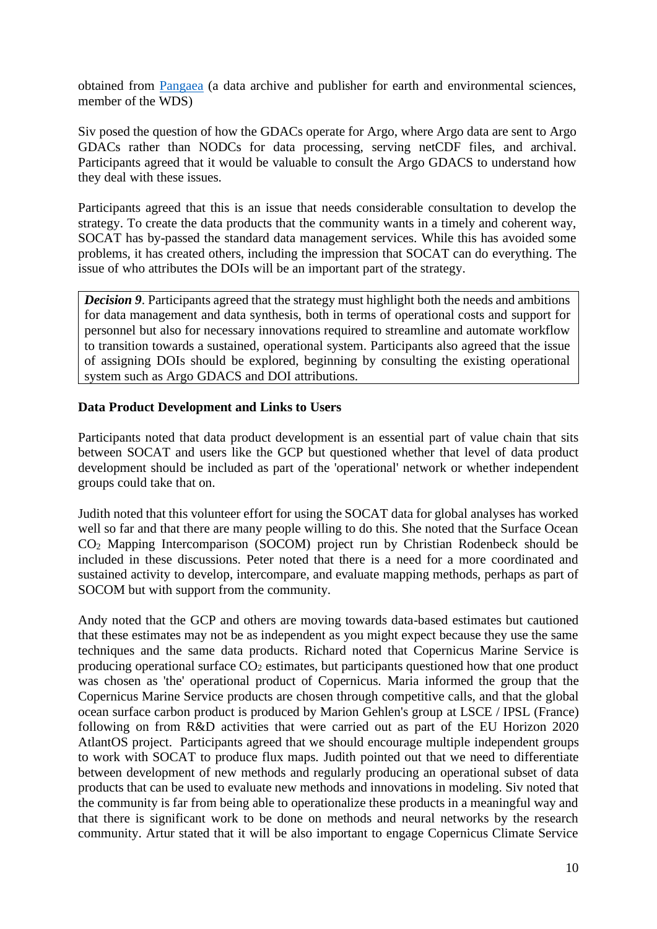obtained from [Pangaea](https://www.pangaea.de/) (a data archive and publisher for earth and environmental sciences, member of the WDS)

Siv posed the question of how the GDACs operate for Argo, where Argo data are sent to Argo GDACs rather than NODCs for data processing, serving netCDF files, and archival. Participants agreed that it would be valuable to consult the Argo GDACS to understand how they deal with these issues.

Participants agreed that this is an issue that needs considerable consultation to develop the strategy. To create the data products that the community wants in a timely and coherent way, SOCAT has by-passed the standard data management services. While this has avoided some problems, it has created others, including the impression that SOCAT can do everything. The issue of who attributes the DOIs will be an important part of the strategy.

*Decision 9*. Participants agreed that the strategy must highlight both the needs and ambitions for data management and data synthesis, both in terms of operational costs and support for personnel but also for necessary innovations required to streamline and automate workflow to transition towards a sustained, operational system. Participants also agreed that the issue of assigning DOIs should be explored, beginning by consulting the existing operational system such as Argo GDACS and DOI attributions.

#### **Data Product Development and Links to Users**

Participants noted that data product development is an essential part of value chain that sits between SOCAT and users like the GCP but questioned whether that level of data product development should be included as part of the 'operational' network or whether independent groups could take that on.

Judith noted that this volunteer effort for using the SOCAT data for global analyses has worked well so far and that there are many people willing to do this. She noted that the Surface Ocean CO<sup>2</sup> Mapping Intercomparison (SOCOM) project run by Christian Rodenbeck should be included in these discussions. Peter noted that there is a need for a more coordinated and sustained activity to develop, intercompare, and evaluate mapping methods, perhaps as part of SOCOM but with support from the community.

Andy noted that the GCP and others are moving towards data-based estimates but cautioned that these estimates may not be as independent as you might expect because they use the same techniques and the same data products. Richard noted that Copernicus Marine Service is producing operational surface  $CO<sub>2</sub>$  estimates, but participants questioned how that one product was chosen as 'the' operational product of Copernicus. Maria informed the group that the Copernicus Marine Service products are chosen through competitive calls, and that the global ocean surface carbon product is produced by Marion Gehlen's group at LSCE / IPSL (France) following on from R&D activities that were carried out as part of the EU Horizon 2020 AtlantOS project. Participants agreed that we should encourage multiple independent groups to work with SOCAT to produce flux maps. Judith pointed out that we need to differentiate between development of new methods and regularly producing an operational subset of data products that can be used to evaluate new methods and innovations in modeling. Siv noted that the community is far from being able to operationalize these products in a meaningful way and that there is significant work to be done on methods and neural networks by the research community. Artur stated that it will be also important to engage Copernicus Climate Service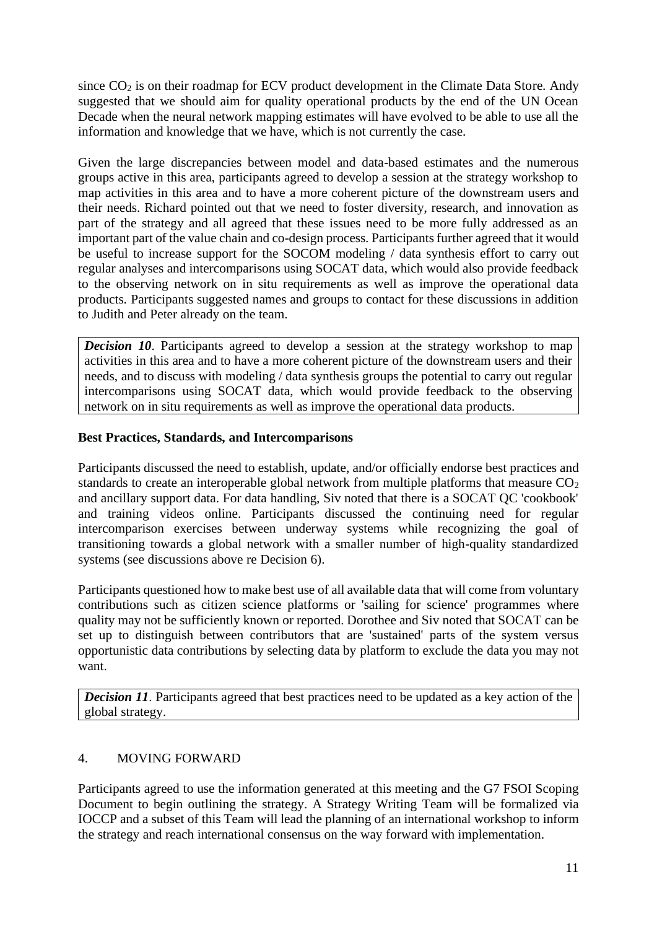since  $CO<sub>2</sub>$  is on their roadmap for ECV product development in the Climate Data Store. Andy suggested that we should aim for quality operational products by the end of the UN Ocean Decade when the neural network mapping estimates will have evolved to be able to use all the information and knowledge that we have, which is not currently the case.

Given the large discrepancies between model and data-based estimates and the numerous groups active in this area, participants agreed to develop a session at the strategy workshop to map activities in this area and to have a more coherent picture of the downstream users and their needs. Richard pointed out that we need to foster diversity, research, and innovation as part of the strategy and all agreed that these issues need to be more fully addressed as an important part of the value chain and co-design process. Participants further agreed that it would be useful to increase support for the SOCOM modeling / data synthesis effort to carry out regular analyses and intercomparisons using SOCAT data, which would also provide feedback to the observing network on in situ requirements as well as improve the operational data products. Participants suggested names and groups to contact for these discussions in addition to Judith and Peter already on the team.

*Decision 10.* Participants agreed to develop a session at the strategy workshop to map activities in this area and to have a more coherent picture of the downstream users and their needs, and to discuss with modeling / data synthesis groups the potential to carry out regular intercomparisons using SOCAT data, which would provide feedback to the observing network on in situ requirements as well as improve the operational data products.

#### **Best Practices, Standards, and Intercomparisons**

Participants discussed the need to establish, update, and/or officially endorse best practices and standards to create an interoperable global network from multiple platforms that measure  $CO<sub>2</sub>$ and ancillary support data. For data handling, Siv noted that there is a SOCAT QC 'cookbook' and training videos online. Participants discussed the continuing need for regular intercomparison exercises between underway systems while recognizing the goal of transitioning towards a global network with a smaller number of high-quality standardized systems (see discussions above re Decision 6).

Participants questioned how to make best use of all available data that will come from voluntary contributions such as citizen science platforms or 'sailing for science' programmes where quality may not be sufficiently known or reported. Dorothee and Siv noted that SOCAT can be set up to distinguish between contributors that are 'sustained' parts of the system versus opportunistic data contributions by selecting data by platform to exclude the data you may not want.

*Decision 11*. Participants agreed that best practices need to be updated as a key action of the global strategy.

## 4. MOVING FORWARD

Participants agreed to use the information generated at this meeting and the G7 FSOI Scoping Document to begin outlining the strategy. A Strategy Writing Team will be formalized via IOCCP and a subset of this Team will lead the planning of an international workshop to inform the strategy and reach international consensus on the way forward with implementation.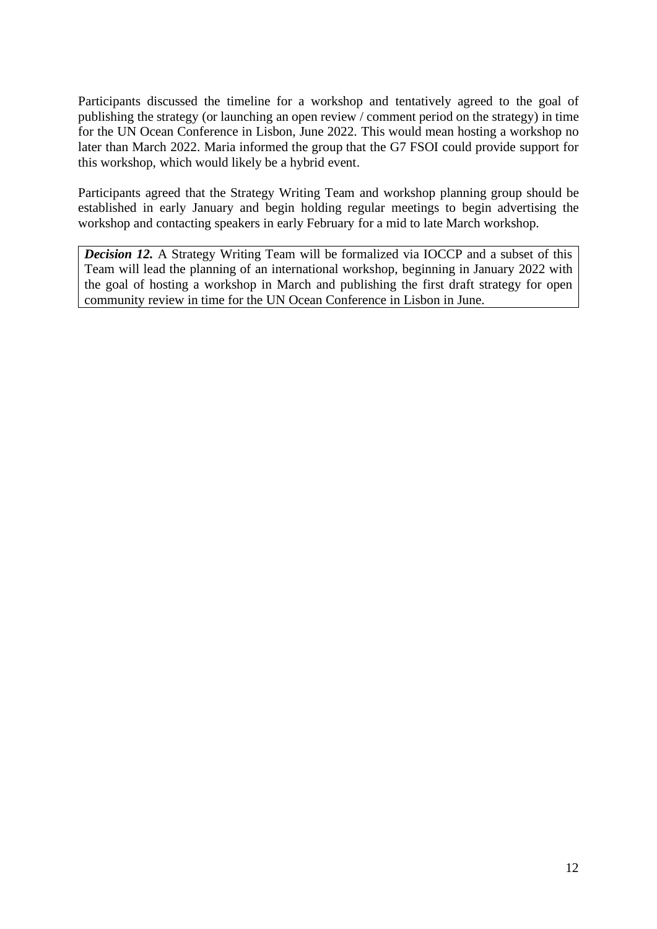Participants discussed the timeline for a workshop and tentatively agreed to the goal of publishing the strategy (or launching an open review / comment period on the strategy) in time for the UN Ocean Conference in Lisbon, June 2022. This would mean hosting a workshop no later than March 2022. Maria informed the group that the G7 FSOI could provide support for this workshop, which would likely be a hybrid event.

Participants agreed that the Strategy Writing Team and workshop planning group should be established in early January and begin holding regular meetings to begin advertising the workshop and contacting speakers in early February for a mid to late March workshop.

*Decision 12.* A Strategy Writing Team will be formalized via IOCCP and a subset of this Team will lead the planning of an international workshop, beginning in January 2022 with the goal of hosting a workshop in March and publishing the first draft strategy for open community review in time for the UN Ocean Conference in Lisbon in June.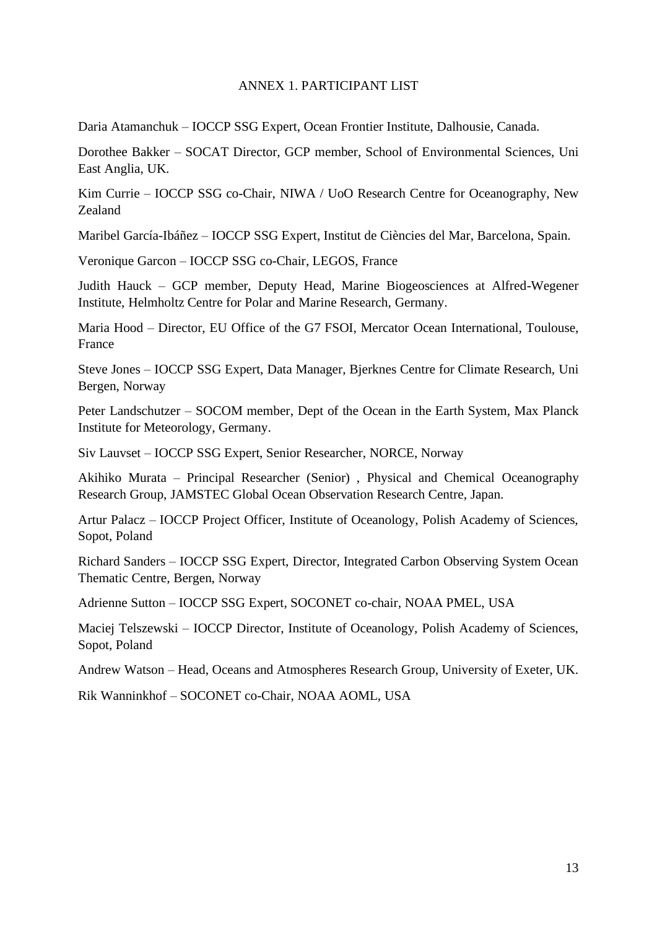#### ANNEX 1. PARTICIPANT LIST

Daria Atamanchuk – IOCCP SSG Expert, Ocean Frontier Institute, Dalhousie, Canada.

Dorothee Bakker – SOCAT Director, GCP member, School of Environmental Sciences, Uni East Anglia, UK.

Kim Currie – IOCCP SSG co-Chair, NIWA / UoO Research Centre for Oceanography, New Zealand

Maribel García-Ibáñez – IOCCP SSG Expert, Institut de Ciències del Mar, Barcelona, Spain.

Veronique Garcon – IOCCP SSG co-Chair, LEGOS, France

Judith Hauck – GCP member, Deputy Head, Marine Biogeosciences at Alfred-Wegener Institute, Helmholtz Centre for Polar and Marine Research, Germany.

Maria Hood – Director, EU Office of the G7 FSOI, Mercator Ocean International, Toulouse, France

Steve Jones – IOCCP SSG Expert, Data Manager, Bjerknes Centre for Climate Research, Uni Bergen, Norway

Peter Landschutzer – SOCOM member, Dept of the Ocean in the Earth System, Max Planck Institute for Meteorology, Germany.

Siv Lauvset – IOCCP SSG Expert, Senior Researcher, NORCE, Norway

Akihiko Murata – Principal Researcher (Senior) , Physical and Chemical Oceanography Research Group, JAMSTEC Global Ocean Observation Research Centre, Japan.

Artur Palacz – IOCCP Project Officer, Institute of Oceanology, Polish Academy of Sciences, Sopot, Poland

Richard Sanders – IOCCP SSG Expert, Director, Integrated Carbon Observing System Ocean Thematic Centre, Bergen, Norway

Adrienne Sutton – IOCCP SSG Expert, SOCONET co-chair, NOAA PMEL, USA

Maciej Telszewski – IOCCP Director, Institute of Oceanology, Polish Academy of Sciences, Sopot, Poland

Andrew Watson – Head, Oceans and Atmospheres Research Group, University of Exeter, UK.

Rik Wanninkhof – SOCONET co-Chair, NOAA AOML, USA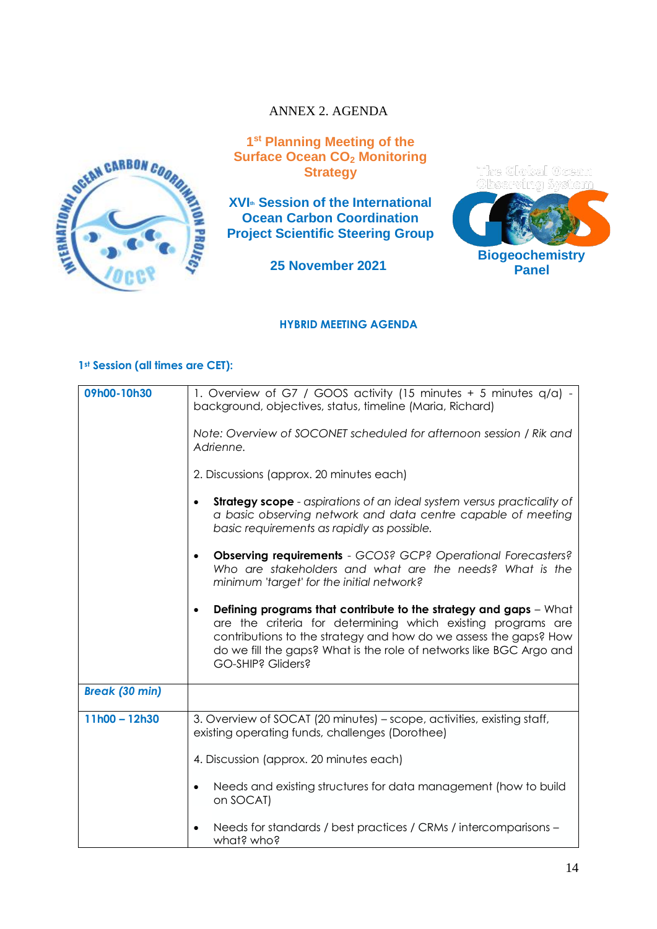# ANNEX 2. AGENDA



**1 st Planning Meeting of the Surface Ocean CO<sup>2</sup> Monitoring Strategy** 

**XVIth Session of the International Ocean Carbon Coordination Project Scientific Steering Group**

**25 November 2021**



**Panel**

#### **HYBRID MEETING AGENDA**

#### **1st Session (all times are CET):**

| 09h00-10h30           | 1. Overview of G7 / GOOS activity (15 minutes + 5 minutes q/a) -<br>background, objectives, status, timeline (Maria, Richard)                                                                                                                                                                                  |
|-----------------------|----------------------------------------------------------------------------------------------------------------------------------------------------------------------------------------------------------------------------------------------------------------------------------------------------------------|
|                       | Note: Overview of SOCONET scheduled for afternoon session / Rik and<br>Adrienne.                                                                                                                                                                                                                               |
|                       | 2. Discussions (approx. 20 minutes each)                                                                                                                                                                                                                                                                       |
|                       | <b>Strategy scope</b> - aspirations of an ideal system versus practicality of<br>a basic observing network and data centre capable of meeting<br>basic requirements as rapidly as possible.                                                                                                                    |
|                       | <b>Observing requirements</b> - GCOS? GCP? Operational Forecasters?<br>Who are stakeholders and what are the needs? What is the<br>minimum 'target' for the initial network?                                                                                                                                   |
|                       | Defining programs that contribute to the strategy and gaps - What<br>$\bullet$<br>are the criteria for determining which existing programs are<br>contributions to the strategy and how do we assess the gaps? How<br>do we fill the gaps? What is the role of networks like BGC Argo and<br>GO-SHIP? Gliders? |
| <b>Break (30 min)</b> |                                                                                                                                                                                                                                                                                                                |
| $11h00 - 12h30$       | 3. Overview of SOCAT (20 minutes) – scope, activities, existing staff,<br>existing operating funds, challenges (Dorothee)                                                                                                                                                                                      |
|                       | 4. Discussion (approx. 20 minutes each)                                                                                                                                                                                                                                                                        |
|                       | Needs and existing structures for data management (how to build<br>on SOCAT)                                                                                                                                                                                                                                   |
|                       | Needs for standards / best practices / CRMs / intercomparisons -<br>what? who?                                                                                                                                                                                                                                 |